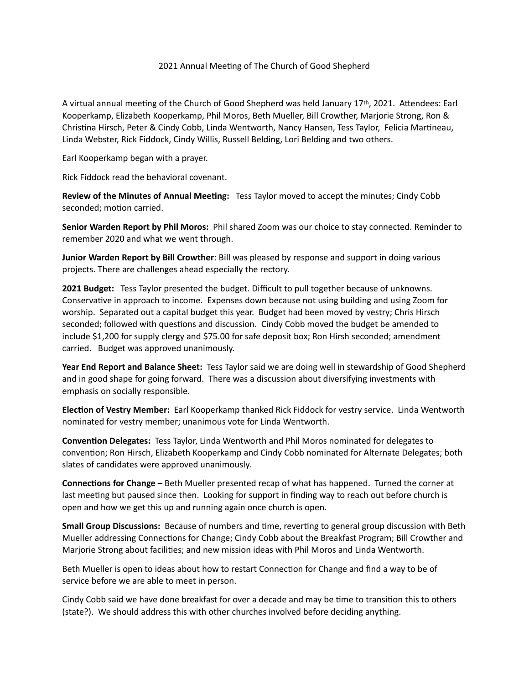## 2021 Annual Meeting of The Church of Good Shepherd

A virtual annual meeting of the Church of Good Shepherd was held January 17th, 2021. Attendees: Earl Kooperkamp, Elizabeth Kooperkamp, Phil Moros, Beth Mueller, Bill Crowther, Marjorie Strong, Ron & Christina Hirsch, Peter & Cindy Cobb, Linda Wentworth, Nancy Hansen, Tess Taylor, Felicia Martineau, Linda Webster, Rick Fiddock, Cindy Willis, Russell Belding, Lori Belding and two others.

Earl Kooperkamp began with a prayer.

Rick Fiddock read the behavioral covenant.

**Review of the Minutes of Annual Meeting:** Tess Taylor moved to accept the minutes; Cindy Cobb seconded; motion carried.

**Senior Warden Report by Phil Moros:** Phil shared Zoom was our choice to stay connected. Reminder to remember 2020 and what we went through.

**Junior Warden Report by Bill Crowther**: Bill was pleased by response and support in doing various projects. There are challenges ahead especially the rectory.

**2021 Budget:** Tess Taylor presented the budget. Difficult to pull together because of unknowns. Conservative in approach to income. Expenses down because not using building and using Zoom for worship. Separated out a capital budget this year. Budget had been moved by vestry; Chris Hirsch seconded; followed with questions and discussion. Cindy Cobb moved the budget be amended to include \$1,200 for supply clergy and \$75.00 for safe deposit box; Ron Hirsh seconded; amendment carried. Budget was approved unanimously.

**Year End Report and Balance Sheet:** Tess Taylor said we are doing well in stewardship of Good Shepherd and in good shape for going forward. There was a discussion about diversifying investments with emphasis on socially responsible.

**Election of Vestry Member:** Earl Kooperkamp thanked Rick Fiddock for vestry service. Linda Wentworth nominated for vestry member; unanimous vote for Linda Wentworth.

**Convention Delegates:** Tess Taylor, Linda Wentworth and Phil Moros nominated for delegates to convention; Ron Hirsch, Elizabeth Kooperkamp and Cindy Cobb nominated for Alternate Delegates; both slates of candidates were approved unanimously.

**Connections for Change** – Beth Mueller presented recap of what has happened. Turned the corner at last meeting but paused since then. Looking for support in finding way to reach out before church is open and how we get this up and running again once church is open.

**Small Group Discussions:** Because of numbers and time, reverting to general group discussion with Beth Mueller addressing Connections for Change; Cindy Cobb about the Breakfast Program; Bill Crowther and Marjorie Strong about facilities; and new mission ideas with Phil Moros and Linda Wentworth.

Beth Mueller is open to ideas about how to restart Connection for Change and find a way to be of service before we are able to meet in person.

Cindy Cobb said we have done breakfast for over a decade and may be time to transition this to others (state?). We should address this with other churches involved before deciding anything.